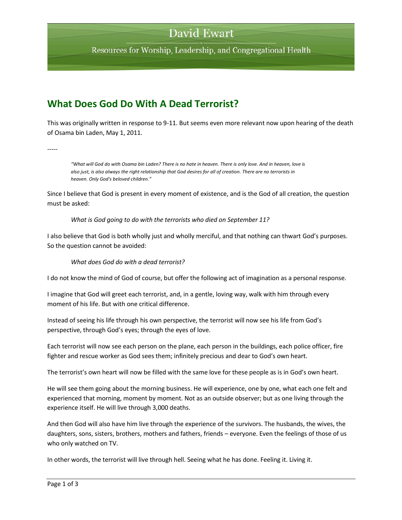## **David Ewart**

Resources for Worship, Leadership, and Congregational Health

### **What Does God Do With A Dead Terrorist?**

This was originally written in response to 9-11. But seems even more relevant now upon hearing of the death of Osama bin Laden, May 1, 2011.

-----

*"What will God do with Osama bin Laden? There is no hate in heaven. There is only love. And in heaven, love is also just, is also always the right relationship that God desires for all of creation. There are no terrorists in heaven. Only God's beloved children."*

Since I believe that God is present in every moment of existence, and is the God of all creation, the question must be asked:

#### *What is God going to do with the terrorists who died on September 11?*

I also believe that God is both wholly just and wholly merciful, and that nothing can thwart God's purposes. So the question cannot be avoided:

#### *What does God do with a dead terrorist?*

I do not know the mind of God of course, but offer the following act of imagination as a personal response.

I imagine that God will greet each terrorist, and, in a gentle, loving way, walk with him through every moment of his life. But with one critical difference.

Instead of seeing his life through his own perspective, the terrorist will now see his life from God's perspective, through God's eyes; through the eyes of love.

Each terrorist will now see each person on the plane, each person in the buildings, each police officer, fire fighter and rescue worker as God sees them; infinitely precious and dear to God's own heart.

The terrorist's own heart will now be filled with the same love for these people as is in God's own heart.

He will see them going about the morning business. He will experience, one by one, what each one felt and experienced that morning, moment by moment. Not as an outside observer; but as one living through the experience itself. He will live through 3,000 deaths.

And then God will also have him live through the experience of the survivors. The husbands, the wives, the daughters, sons, sisters, brothers, mothers and fathers, friends – everyone. Even the feelings of those of us who only watched on TV.

In other words, the terrorist will live through hell. Seeing what he has done. Feeling it. Living it.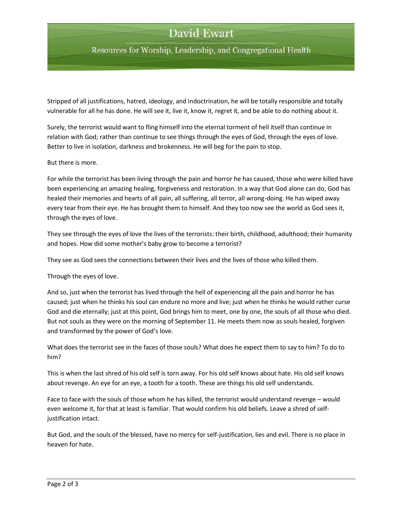# **David Ewart**

Resources for Worship, Leadership, and Congregational Health

Stripped of all justifications, hatred, ideology, and indoctrination, he will be totally responsible and totally vulnerable for all he has done. He will see it, live it, know it, regret it, and be able to do nothing about it.

Surely, the terrorist would want to fling himself into the eternal torment of hell itself than continue in relation with God; rather than continue to see things through the eyes of God, through the eyes of love. Better to live in isolation, darkness and brokenness. He will beg for the pain to stop.

But there is more.

For while the terrorist has been living through the pain and horror he has caused, those who were killed have been experiencing an amazing healing, forgiveness and restoration. In a way that God alone can do, God has healed their memories and hearts of all pain, all suffering, all terror, all wrong-doing. He has wiped away every tear from their eye. He has brought them to himself. And they too now see the world as God sees it, through the eyes of love.

They see through the eyes of love the lives of the terrorists: their birth, childhood, adulthood; their humanity and hopes. How did some mother's baby grow to become a terrorist?

They see as God sees the connections between their lives and the lives of those who killed them.

Through the eyes of love.

And so, just when the terrorist has lived through the hell of experiencing all the pain and horror he has caused; just when he thinks his soul can endure no more and live; just when he thinks he would rather curse God and die eternally; just at this point, God brings him to meet, one by one, the souls of all those who died. But not souls as they were on the morning of September 11. He meets them now as souls healed, forgiven and transformed by the power of God's love.

What does the terrorist see in the faces of those souls? What does he expect them to say to him? To do to him?

This is when the last shred of his old self is torn away. For his old self knows about hate. His old self knows about revenge. An eye for an eye, a tooth for a tooth. These are things his old self understands.

Face to face with the souls of those whom he has killed, the terrorist would understand revenge – would even welcome it, for that at least is familiar. That would confirm his old beliefs. Leave a shred of selfjustification intact.

But God, and the souls of the blessed, have no mercy for self-justification, lies and evil. There is no place in heaven for hate.